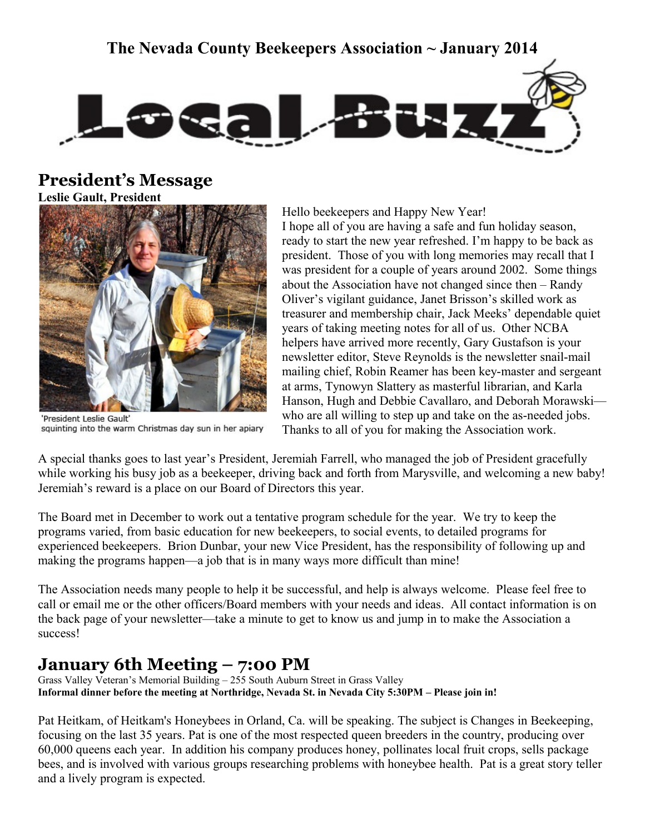**The Nevada County Beekeepers Association ~ January 2014**



## **President's Message**

**Leslie Gault, President**



'President Leslie Gault' squinting into the warm Christmas day sun in her apiary

Hello beekeepers and Happy New Year! I hope all of you are having a safe and fun holiday season, ready to start the new year refreshed. I'm happy to be back as president. Those of you with long memories may recall that I was president for a couple of years around 2002. Some things about the Association have not changed since then – Randy Oliver's vigilant guidance, Janet Brisson's skilled work as treasurer and membership chair, Jack Meeks' dependable quiet years of taking meeting notes for all of us. Other NCBA helpers have arrived more recently, Gary Gustafson is your newsletter editor, Steve Reynolds is the newsletter snail-mail mailing chief, Robin Reamer has been key-master and sergeant at arms, Tynowyn Slattery as masterful librarian, and Karla Hanson, Hugh and Debbie Cavallaro, and Deborah Morawski who are all willing to step up and take on the as-needed jobs. Thanks to all of you for making the Association work.

A special thanks goes to last year's President, Jeremiah Farrell, who managed the job of President gracefully while working his busy job as a beekeeper, driving back and forth from Marysville, and welcoming a new baby! Jeremiah's reward is a place on our Board of Directors this year.

The Board met in December to work out a tentative program schedule for the year. We try to keep the programs varied, from basic education for new beekeepers, to social events, to detailed programs for experienced beekeepers. Brion Dunbar, your new Vice President, has the responsibility of following up and making the programs happen—a job that is in many ways more difficult than mine!

The Association needs many people to help it be successful, and help is always welcome. Please feel free to call or email me or the other officers/Board members with your needs and ideas. All contact information is on the back page of your newsletter—take a minute to get to know us and jump in to make the Association a success!

# **January 6th Meeting – 7:00 PM**

Grass Valley Veteran's Memorial Building – 255 South Auburn Street in Grass Valley **Informal dinner before the meeting at Northridge, Nevada St. in Nevada City 5:30PM – Please join in!**

Pat Heitkam, of Heitkam's Honeybees in Orland, Ca. will be speaking. The subject is Changes in Beekeeping, focusing on the last 35 years. Pat is one of the most respected queen breeders in the country, producing over 60,000 queens each year. In addition his company produces honey, pollinates local fruit crops, sells package bees, and is involved with various groups researching problems with honeybee health. Pat is a great story teller and a lively program is expected.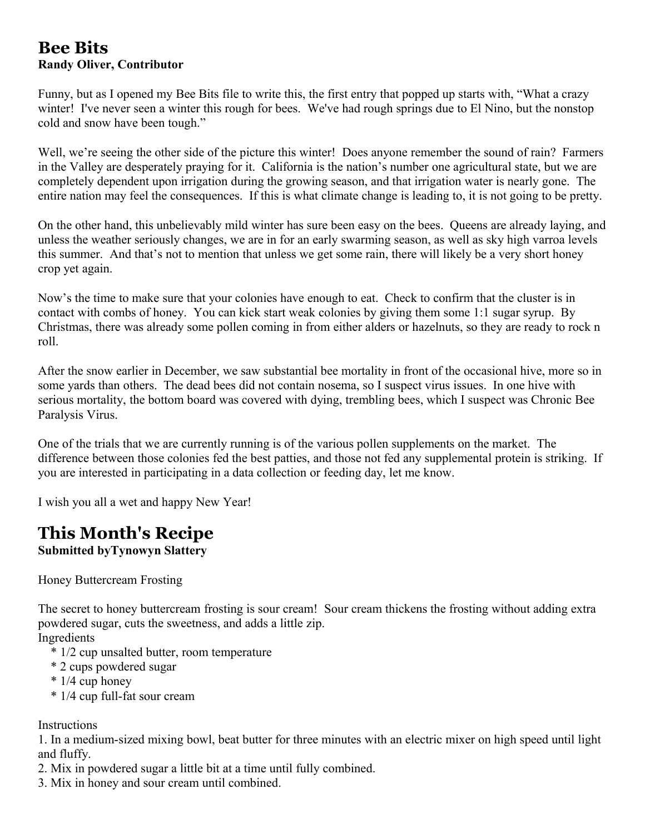## **Bee Bits Randy Oliver, Contributor**

Funny, but as I opened my Bee Bits file to write this, the first entry that popped up starts with, "What a crazy winter! I've never seen a winter this rough for bees. We've had rough springs due to El Nino, but the nonstop cold and snow have been tough."

Well, we're seeing the other side of the picture this winter! Does anyone remember the sound of rain? Farmers in the Valley are desperately praying for it. California is the nation's number one agricultural state, but we are completely dependent upon irrigation during the growing season, and that irrigation water is nearly gone. The entire nation may feel the consequences. If this is what climate change is leading to, it is not going to be pretty.

On the other hand, this unbelievably mild winter has sure been easy on the bees. Queens are already laying, and unless the weather seriously changes, we are in for an early swarming season, as well as sky high varroa levels this summer. And that's not to mention that unless we get some rain, there will likely be a very short honey crop yet again.

Now's the time to make sure that your colonies have enough to eat. Check to confirm that the cluster is in contact with combs of honey. You can kick start weak colonies by giving them some 1:1 sugar syrup. By Christmas, there was already some pollen coming in from either alders or hazelnuts, so they are ready to rock n roll.

After the snow earlier in December, we saw substantial bee mortality in front of the occasional hive, more so in some yards than others. The dead bees did not contain nosema, so I suspect virus issues. In one hive with serious mortality, the bottom board was covered with dying, trembling bees, which I suspect was Chronic Bee Paralysis Virus.

One of the trials that we are currently running is of the various pollen supplements on the market. The difference between those colonies fed the best patties, and those not fed any supplemental protein is striking. If you are interested in participating in a data collection or feeding day, let me know.

I wish you all a wet and happy New Year!

# **This Month's Recipe**

**Submitted byTynowyn Slattery**

Honey Buttercream Frosting

The secret to honey buttercream frosting is sour cream! Sour cream thickens the frosting without adding extra powdered sugar, cuts the sweetness, and adds a little zip.

Ingredients

- \* 1/2 cup unsalted butter, room temperature
- \* 2 cups powdered sugar
- \* 1/4 cup honey
- \* 1/4 cup full-fat sour cream

Instructions

1. In a medium-sized mixing bowl, beat butter for three minutes with an electric mixer on high speed until light and fluffy.

- 2. Mix in powdered sugar a little bit at a time until fully combined.
- 3. Mix in honey and sour cream until combined.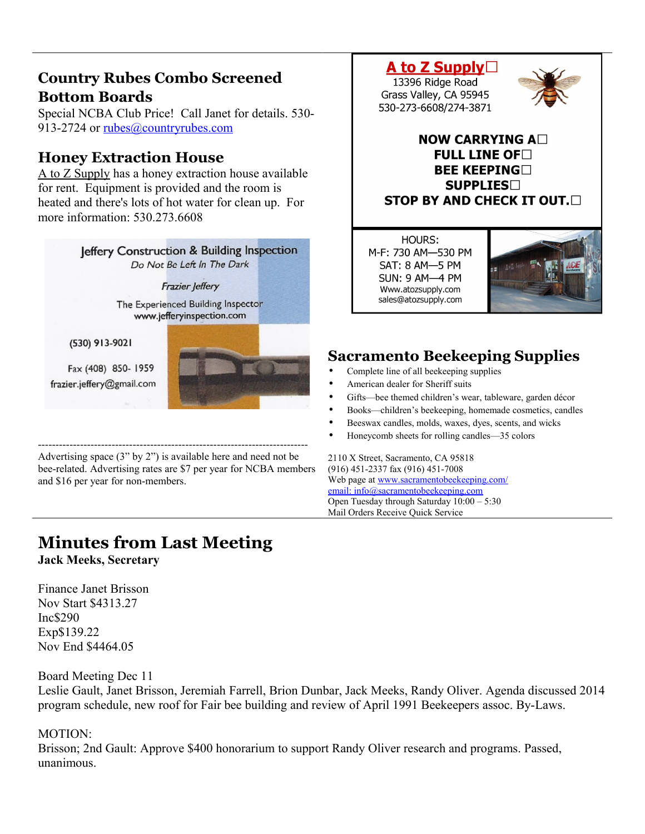## **Country Rubes Combo Screened Bottom Boards**

Special NCBA Club Price! Call Janet for details. 530- 913-2724 or [rubes@countryrubes.com](mailto:rubes@countryrubes.com)

## **Honey Extraction House**

A to Z Supply has a honey extraction house available for rent. Equipment is provided and the room is heated and there's lots of hot water for clean up. For more information: 530 273 6608



Advertising space (3" by 2") is available here and need not be bee-related. Advertising rates are \$7 per year for NCBA members and \$16 per year for non-members.

# **Minutes from Last Meeting**

**Jack Meeks, Secretary** 

Finance Janet Brisson Nov Start \$4313.27 Inc\$290 Exp\$139.22 Nov End \$4464.05

#### Board Meeting Dec 11

Leslie Gault, Janet Brisson, Jeremiah Farrell, Brion Dunbar, Jack Meeks, Randy Oliver. Agenda discussed 2014 program schedule, new roof for Fair bee building and review of April 1991 Beekeepers assoc. By-Laws.

### MOTION:

Brisson; 2nd Gault: Approve \$400 honorarium to support Randy Oliver research and programs. Passed, unanimous.



M-F: 730 AM-530 PM SAT: 8 AM-5 PM **SUN: 9 AM-4 PM** Www.atozsupply.com sales@atozsupply.com



## **Sacramento Beekeeping Supplies**

- Complete line of all beekeeping supplies
- American dealer for Sheriff suits
- Gifts—bee themed children's wear, tableware, garden décor
- Books—children's beekeeping, homemade cosmetics, candles
- Beeswax candles, molds, waxes, dyes, scents, and wicks
- Honeycomb sheets for rolling candles—35 colors

2110 X Street, Sacramento, CA 95818 (916) 451-2337 fax (916) 451-7008 Web page at [www.sacramentobeekeeping.com/](http://www.sacramentobeekeeping.com/) email: inf[o@sacramentobeekeeping.com](mailto:%20info@sacramentobeekeeping.com) Open Tuesday through Saturday 10:00 – 5:30 Mail Orders Receive Quick Service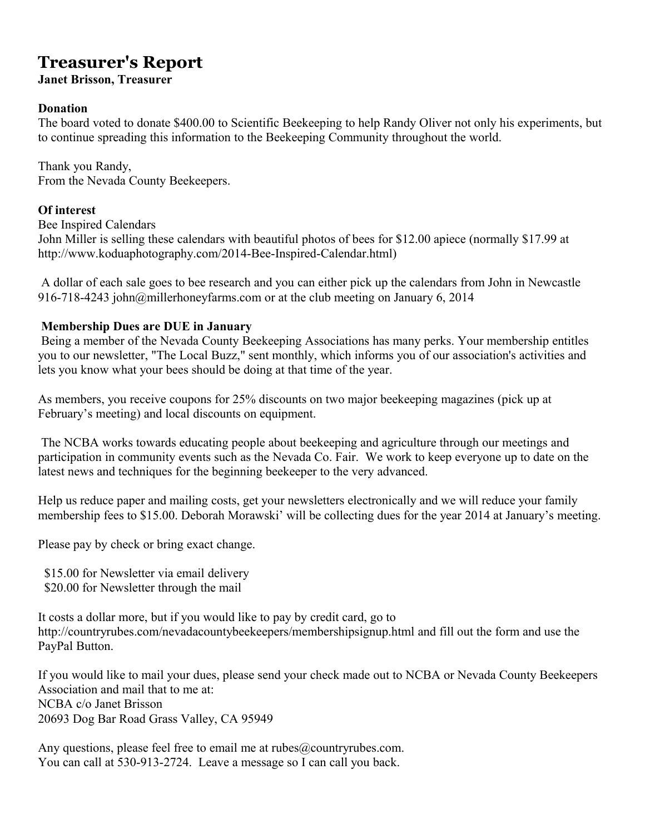# **Treasurer's Report**

**Janet Brisson, Treasurer** 

### **Donation**

The board voted to donate \$400.00 to Scientific Beekeeping to help Randy Oliver not only his experiments, but to continue spreading this information to the Beekeeping Community throughout the world.

Thank you Randy, From the Nevada County Beekeepers.

### **Of interest**

Bee Inspired Calendars John Miller is selling these calendars with beautiful photos of bees for \$12.00 apiece (normally \$17.99 at http://www.koduaphotography.com/2014-Bee-Inspired-Calendar.html)

 A dollar of each sale goes to bee research and you can either pick up the calendars from John in Newcastle 916-718-4243 john@millerhoneyfarms.com or at the club meeting on January 6, 2014

### **Membership Dues are DUE in January**

 Being a member of the Nevada County Beekeeping Associations has many perks. Your membership entitles you to our newsletter, "The Local Buzz," sent monthly, which informs you of our association's activities and lets you know what your bees should be doing at that time of the year.

As members, you receive coupons for 25% discounts on two major beekeeping magazines (pick up at February's meeting) and local discounts on equipment.

 The NCBA works towards educating people about beekeeping and agriculture through our meetings and participation in community events such as the Nevada Co. Fair. We work to keep everyone up to date on the latest news and techniques for the beginning beekeeper to the very advanced.

Help us reduce paper and mailing costs, get your newsletters electronically and we will reduce your family membership fees to \$15.00. Deborah Morawski' will be collecting dues for the year 2014 at January's meeting.

Please pay by check or bring exact change.

\$15.00 for Newsletter via email delivery

\$20.00 for Newsletter through the mail

It costs a dollar more, but if you would like to pay by credit card, go to http://countryrubes.com/nevadacountybeekeepers/membershipsignup.html and fill out the form and use the PayPal Button.

If you would like to mail your dues, please send your check made out to NCBA or Nevada County Beekeepers Association and mail that to me at: NCBA c/o Janet Brisson 20693 Dog Bar Road Grass Valley, CA 95949

Any questions, please feel free to email me at rubes@countryrubes.com. You can call at 530-913-2724. Leave a message so I can call you back.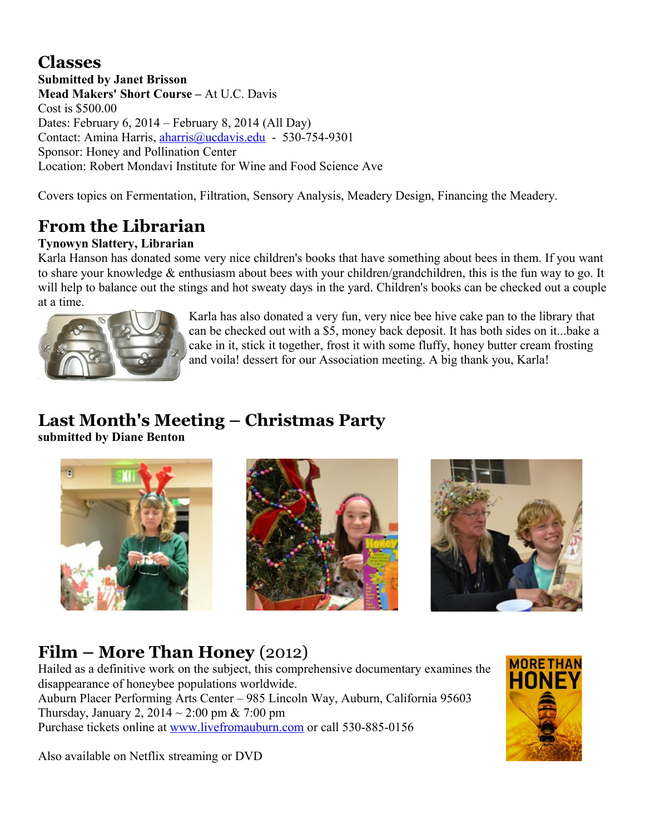# **Classes**

**Submitted by Janet Brisson Mead Makers' Short Course –** At U.C. Davis Cost is \$500.00 Dates: February 6, 2014 – February 8, 2014 (All Day) Contact: Amina Harris, [aharris@ucdavis.edu](mailto:aharris@ucdavis.edu) - 530-754-9301 Sponsor: Honey and Pollination Center Location: Robert Mondavi Institute for Wine and Food Science Ave

Covers topics on Fermentation, Filtration, Sensory Analysis, Meadery Design, Financing the Meadery.

# **From the Librarian**

## **Tynowyn Slattery, Librarian**

Karla Hanson has donated some very nice children's books that have something about bees in them. If you want to share your knowledge & enthusiasm about bees with your children/grandchildren, this is the fun way to go. It will help to balance out the stings and hot sweaty days in the yard. Children's books can be checked out a couple at a time.



Karla has also donated a very fun, very nice bee hive cake pan to the library that can be checked out with a \$5, money back deposit. It has both sides on it...bake a cake in it, stick it together, frost it with some fluffy, honey butter cream frosting and voila! dessert for our Association meeting. A big thank you, Karla!

# **Last Month's Meeting – Christmas Party**

**submitted by Diane Benton**







# **Film – More Than Honey** (2012)

Hailed as a definitive work on the subject, this comprehensive documentary examines the disappearance of honeybee populations worldwide. Auburn Placer Performing Arts Center – 985 Lincoln Way, Auburn, California 95603 Thursday, January 2,  $2014 \sim 2:00$  pm & 7:00 pm Purchase tickets online at [www.livefromauburn.com](http://www.livefromauburn.com/) or call 530-885-0156

Also available on Netflix streaming or DVD